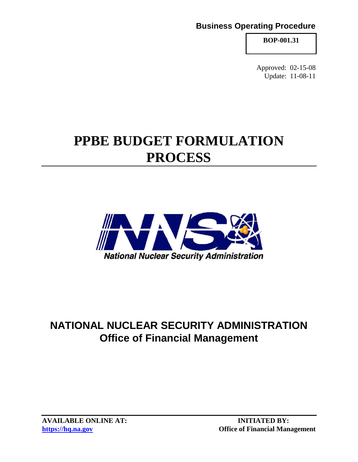# **Business Operating Procedure**

**BOP-001.31**

Approved: 02-15-08 Update: 11-08-11

# **PPBE BUDGET FORMULATION PROCESS**



# **NATIONAL NUCLEAR SECURITY ADMINISTRATION Office of Financial Management**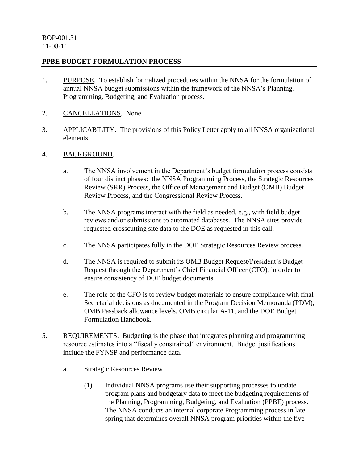#### **PPBE BUDGET FORMULATION PROCESS**

- 1. PURPOSE. To establish formalized procedures within the NNSA for the formulation of annual NNSA budget submissions within the framework of the NNSA's Planning, Programming, Budgeting, and Evaluation process.
- 2. CANCELLATIONS. None.
- 3. APPLICABILITY. The provisions of this Policy Letter apply to all NNSA organizational elements.
- 4. BACKGROUND.
	- a. The NNSA involvement in the Department's budget formulation process consists of four distinct phases: the NNSA Programming Process, the Strategic Resources Review (SRR) Process, the Office of Management and Budget (OMB) Budget Review Process, and the Congressional Review Process.
	- b. The NNSA programs interact with the field as needed, e.g., with field budget reviews and/or submissions to automated databases. The NNSA sites provide requested crosscutting site data to the DOE as requested in this call.
	- c. The NNSA participates fully in the DOE Strategic Resources Review process.
	- d. The NNSA is required to submit its OMB Budget Request/President's Budget Request through the Department's Chief Financial Officer (CFO), in order to ensure consistency of DOE budget documents.
	- e. The role of the CFO is to review budget materials to ensure compliance with final Secretarial decisions as documented in the Program Decision Memoranda (PDM), OMB Passback allowance levels, OMB circular A-11, and the DOE Budget Formulation Handbook.
- 5. REQUIREMENTS. Budgeting is the phase that integrates planning and programming resource estimates into a "fiscally constrained" environment. Budget justifications include the FYNSP and performance data.
	- a. Strategic Resources Review
		- (1) Individual NNSA programs use their supporting processes to update program plans and budgetary data to meet the budgeting requirements of the Planning, Programming, Budgeting, and Evaluation (PPBE) process. The NNSA conducts an internal corporate Programming process in late spring that determines overall NNSA program priorities within the five-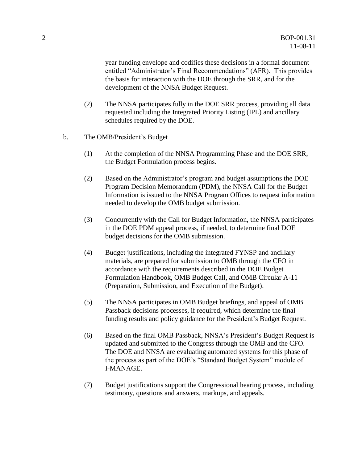year funding envelope and codifies these decisions in a formal document entitled "Administrator's Final Recommendations" (AFR). This provides the basis for interaction with the DOE through the SRR, and for the development of the NNSA Budget Request.

- (2) The NNSA participates fully in the DOE SRR process, providing all data requested including the Integrated Priority Listing (IPL) and ancillary schedules required by the DOE.
- b. The OMB/President's Budget
	- (1) At the completion of the NNSA Programming Phase and the DOE SRR, the Budget Formulation process begins.
	- (2) Based on the Administrator's program and budget assumptions the DOE Program Decision Memorandum (PDM), the NNSA Call for the Budget Information is issued to the NNSA Program Offices to request information needed to develop the OMB budget submission.
	- (3) Concurrently with the Call for Budget Information, the NNSA participates in the DOE PDM appeal process, if needed, to determine final DOE budget decisions for the OMB submission.
	- (4) Budget justifications, including the integrated FYNSP and ancillary materials, are prepared for submission to OMB through the CFO in accordance with the requirements described in the DOE Budget Formulation Handbook, OMB Budget Call, and OMB Circular A-11 (Preparation, Submission, and Execution of the Budget).
	- (5) The NNSA participates in OMB Budget briefings, and appeal of OMB Passback decisions processes, if required, which determine the final funding results and policy guidance for the President's Budget Request.
	- (6) Based on the final OMB Passback, NNSA's President's Budget Request is updated and submitted to the Congress through the OMB and the CFO. The DOE and NNSA are evaluating automated systems for this phase of the process as part of the DOE's "Standard Budget System" module of I-MANAGE.
	- (7) Budget justifications support the Congressional hearing process, including testimony, questions and answers, markups, and appeals.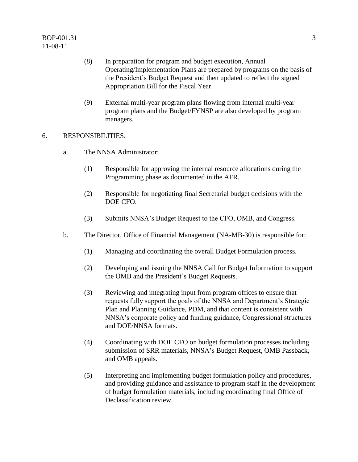- (8) In preparation for program and budget execution, Annual Operating/Implementation Plans are prepared by programs on the basis of the President's Budget Request and then updated to reflect the signed Appropriation Bill for the Fiscal Year.
- (9) External multi-year program plans flowing from internal multi-year program plans and the Budget/FYNSP are also developed by program managers.

#### 6. RESPONSIBILITIES.

- a. The NNSA Administrator:
	- (1) Responsible for approving the internal resource allocations during the Programming phase as documented in the AFR.
	- (2) Responsible for negotiating final Secretarial budget decisions with the DOE CFO.
	- (3) Submits NNSA's Budget Request to the CFO, OMB, and Congress.
- b. The Director, Office of Financial Management (NA-MB-30) is responsible for:
	- (1) Managing and coordinating the overall Budget Formulation process.
	- (2) Developing and issuing the NNSA Call for Budget Information to support the OMB and the President's Budget Requests.
	- (3) Reviewing and integrating input from program offices to ensure that requests fully support the goals of the NNSA and Department's Strategic Plan and Planning Guidance, PDM, and that content is consistent with NNSA's corporate policy and funding guidance, Congressional structures and DOE/NNSA formats.
	- (4) Coordinating with DOE CFO on budget formulation processes including submission of SRR materials, NNSA's Budget Request, OMB Passback, and OMB appeals.
	- (5) Interpreting and implementing budget formulation policy and procedures, and providing guidance and assistance to program staff in the development of budget formulation materials, including coordinating final Office of Declassification review.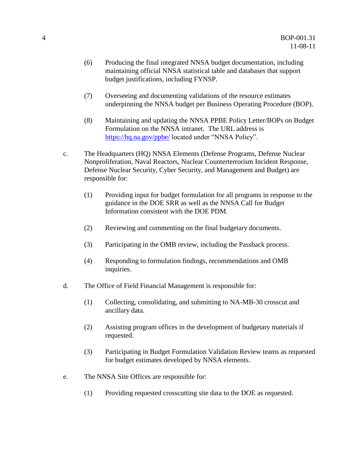- (6) Producing the final integrated NNSA budget documentation, including maintaining official NNSA statistical table and databases that support budget justifications, including FYNSP.
- (7) Overseeing and documenting validations of the resource estimates underpinning the NNSA budget per Business Operating Procedure (BOP).
- (8) Maintaining and updating the NNSA PPBE Policy Letter/BOPs on Budget Formulation on the NNSA intranet. The URL address is <https://hq.na.gov/>ppbe/ located under "NNSA Policy".
- c. The Headquarters (HQ) NNSA Elements (Defense Programs, Defense Nuclear Nonproliferation, Naval Reactors, Nuclear Counterterrorism Incident Response, Defense Nuclear Security, Cyber Security, and Management and Budget) are responsible for:
	- (1) Providing input for budget formulation for all programs in response to the guidance in the DOE SRR as well as the NNSA Call for Budget Information consistent with the DOE PDM.
	- (2) Reviewing and commenting on the final budgetary documents.
	- (3) Participating in the OMB review, including the Passback process.
	- (4) Responding to formulation findings, recommendations and OMB inquiries.
- d. The Office of Field Financial Management is responsible for:
	- (1) Collecting, consolidating, and submitting to NA-MB-30 crosscut and ancillary data.
	- (2) Assisting program offices in the development of budgetary materials if requested.
	- (3) Participating in Budget Formulation Validation Review teams as requested for budget estimates developed by NNSA elements.
- e. The NNSA Site Offices are responsible for:
	- (1) Providing requested crosscutting site data to the DOE as requested.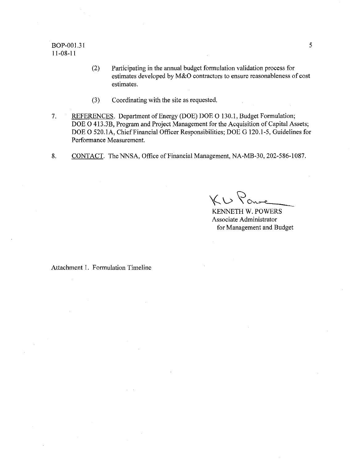#### BOP-001.31 11-08-11

- (2) Participating in the annual budget formulation validation process for estimates developed by M&O contractors to ensure reasonableness of cost estimates.
- (3) Coordinating with the site as requested.
- 7. REFERENCES. Department of Energy (DOE) DOE O 130.1, Budget Formulation; DOE O 413.3B, Program and Project Management for the Acquisition of Capital Assets; DOE 0 520.1A, Chief Financial Officer Responsibilities; DOE G 120.1-5, Guidelines for Performance Measurement.
- 8. CONTACT. The NNSA, Office of Financial Management, NA-MB-30, 202-586-1087.

 $K\cup\text{Yone}$ 

KENNETH W. POWERS Associate Administrator for Management and Budget

Attachment 1. Formulation Timeline